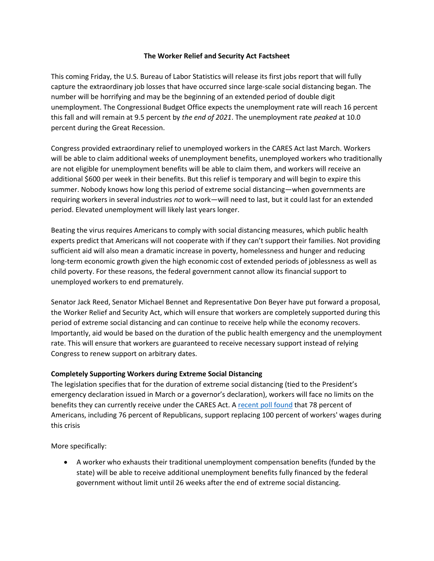### **The Worker Relief and Security Act Factsheet**

This coming Friday, the U.S. Bureau of Labor Statistics will release its first jobs report that will fully capture the extraordinary job losses that have occurred since large-scale social distancing began. The number will be horrifying and may be the beginning of an extended period of double digit unemployment. The Congressional Budget Office expects the unemployment rate will reach 16 percent this fall and will remain at 9.5 percent by *the end of 2021*. The unemployment rate *peaked* at 10.0 percent during the Great Recession.

Congress provided extraordinary relief to unemployed workers in the CARES Act last March. Workers will be able to claim additional weeks of unemployment benefits, unemployed workers who traditionally are not eligible for unemployment benefits will be able to claim them, and workers will receive an additional \$600 per week in their benefits. But this relief is temporary and will begin to expire this summer. Nobody knows how long this period of extreme social distancing—when governments are requiring workers in several industries *not* to work—will need to last, but it could last for an extended period. Elevated unemployment will likely last years longer.

Beating the virus requires Americans to comply with social distancing measures, which public health experts predict that Americans will not cooperate with if they can't support their families. Not providing sufficient aid will also mean a dramatic increase in poverty, homelessness and hunger and reducing long-term economic growth given the high economic cost of extended periods of joblessness as well as child poverty. For these reasons, the federal government cannot allow its financial support to unemployed workers to end prematurely.

Senator Jack Reed, Senator Michael Bennet and Representative Don Beyer have put forward a proposal, the Worker Relief and Security Act, which will ensure that workers are completely supported during this period of extreme social distancing and can continue to receive help while the economy recovers. Importantly, aid would be based on the duration of the public health emergency and the unemployment rate. This will ensure that workers are guaranteed to receive necessary support instead of relying Congress to renew support on arbitrary dates.

# **Completely Supporting Workers during Extreme Social Distancing**

The legislation specifies that for the duration of extreme social distancing (tied to the President's emergency declaration issued in March or a governor's declaration), workers will face no limits on the benefits they can currently receive under the CARES Act. A [recent poll found](https://www.dataforprogress.org/blog/2020/4/30/voters-support-replacing-100-percent-of-workers-wages-during-this-crisishttps:/www.dataforprogress.org/blog/2020/4/30/voters-support-replacing-100-percent-of-workers-wages-during-this-crisis) that 78 percent of Americans, including 76 percent of Republicans, support replacing 100 percent of workers' wages during this crisis

More specifically:

• A worker who exhausts their traditional unemployment compensation benefits (funded by the state) will be able to receive additional unemployment benefits fully financed by the federal government without limit until 26 weeks after the end of extreme social distancing.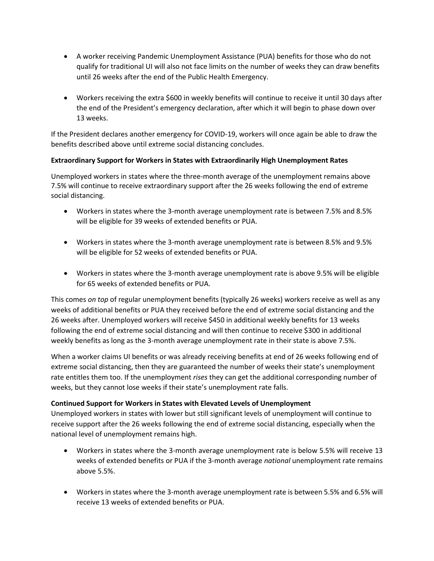- A worker receiving Pandemic Unemployment Assistance (PUA) benefits for those who do not qualify for traditional UI will also not face limits on the number of weeks they can draw benefits until 26 weeks after the end of the Public Health Emergency.
- Workers receiving the extra \$600 in weekly benefits will continue to receive it until 30 days after the end of the President's emergency declaration, after which it will begin to phase down over 13 weeks.

If the President declares another emergency for COVID-19, workers will once again be able to draw the benefits described above until extreme social distancing concludes.

# **Extraordinary Support for Workers in States with Extraordinarily High Unemployment Rates**

Unemployed workers in states where the three-month average of the unemployment remains above 7.5% will continue to receive extraordinary support after the 26 weeks following the end of extreme social distancing.

- Workers in states where the 3-month average unemployment rate is between 7.5% and 8.5% will be eligible for 39 weeks of extended benefits or PUA.
- Workers in states where the 3-month average unemployment rate is between 8.5% and 9.5% will be eligible for 52 weeks of extended benefits or PUA.
- Workers in states where the 3-month average unemployment rate is above 9.5% will be eligible for 65 weeks of extended benefits or PUA.

This comes *on top* of regular unemployment benefits (typically 26 weeks) workers receive as well as any weeks of additional benefits or PUA they received before the end of extreme social distancing and the 26 weeks after. Unemployed workers will receive \$450 in additional weekly benefits for 13 weeks following the end of extreme social distancing and will then continue to receive \$300 in additional weekly benefits as long as the 3-month average unemployment rate in their state is above 7.5%.

When a worker claims UI benefits or was already receiving benefits at end of 26 weeks following end of extreme social distancing, then they are guaranteed the number of weeks their state's unemployment rate entitles them too. If the unemployment *rises* they can get the additional corresponding number of weeks, but they cannot lose weeks if their state's unemployment rate falls.

# **Continued Support for Workers in States with Elevated Levels of Unemployment**

Unemployed workers in states with lower but still significant levels of unemployment will continue to receive support after the 26 weeks following the end of extreme social distancing, especially when the national level of unemployment remains high.

- Workers in states where the 3-month average unemployment rate is below 5.5% will receive 13 weeks of extended benefits or PUA if the 3-month average *national* unemployment rate remains above 5.5%.
- Workers in states where the 3-month average unemployment rate is between 5.5% and 6.5% will receive 13 weeks of extended benefits or PUA.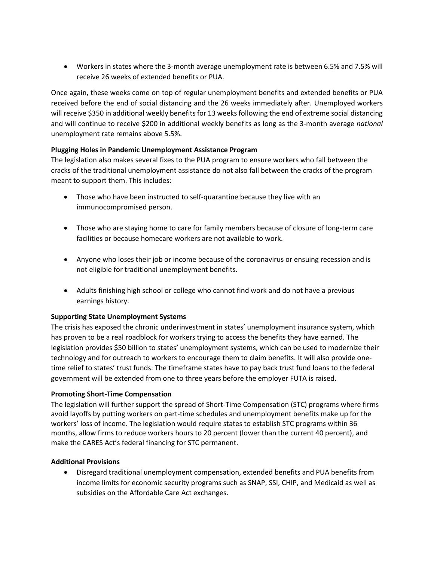• Workers in states where the 3-month average unemployment rate is between 6.5% and 7.5% will receive 26 weeks of extended benefits or PUA.

Once again, these weeks come on top of regular unemployment benefits and extended benefits or PUA received before the end of social distancing and the 26 weeks immediately after. Unemployed workers will receive \$350 in additional weekly benefits for 13 weeks following the end of extreme social distancing and will continue to receive \$200 in additional weekly benefits as long as the 3-month average *national* unemployment rate remains above 5.5%.

# **Plugging Holes in Pandemic Unemployment Assistance Program**

The legislation also makes several fixes to the PUA program to ensure workers who fall between the cracks of the traditional unemployment assistance do not also fall between the cracks of the program meant to support them. This includes:

- Those who have been instructed to self-quarantine because they live with an immunocompromised person.
- Those who are staying home to care for family members because of closure of long-term care facilities or because homecare workers are not available to work.
- Anyone who loses their job or income because of the coronavirus or ensuing recession and is not eligible for traditional unemployment benefits.
- Adults finishing high school or college who cannot find work and do not have a previous earnings history.

# **Supporting State Unemployment Systems**

The crisis has exposed the chronic underinvestment in states' unemployment insurance system, which has proven to be a real roadblock for workers trying to access the benefits they have earned. The legislation provides \$50 billion to states' unemployment systems, which can be used to modernize their technology and for outreach to workers to encourage them to claim benefits. It will also provide onetime relief to states' trust funds. The timeframe states have to pay back trust fund loans to the federal government will be extended from one to three years before the employer FUTA is raised.

### **Promoting Short-Time Compensation**

The legislation will further support the spread of Short-Time Compensation (STC) programs where firms avoid layoffs by putting workers on part-time schedules and unemployment benefits make up for the workers' loss of income. The legislation would require states to establish STC programs within 36 months, allow firms to reduce workers hours to 20 percent (lower than the current 40 percent), and make the CARES Act's federal financing for STC permanent.

### **Additional Provisions**

• Disregard traditional unemployment compensation, extended benefits and PUA benefits from income limits for economic security programs such as SNAP, SSI, CHIP, and Medicaid as well as subsidies on the Affordable Care Act exchanges.